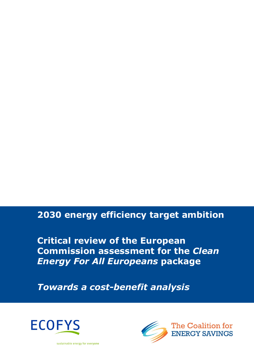# 2030 energy efficiency target ambition

Critical review of the European Commission assessment for the Clean Energy For All Europeans package

Towards a cost-benefit analysis





sustainable energy for everyone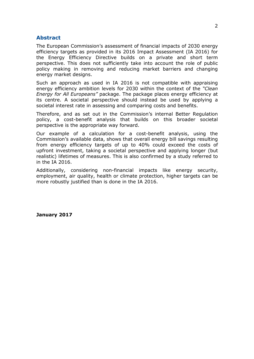### Abstract

The European Commission's assessment of financial impacts of 2030 energy efficiency targets as provided in its 2016 Impact Assessment (IA 2016) for the Energy Efficiency Directive builds on a private and short term perspective. This does not sufficiently take into account the role of public policy making in removing and reducing market barriers and changing energy market designs.

Such an approach as used in IA 2016 is not compatible with appraising energy efficiency ambition levels for 2030 within the context of the "Clean Energy for All Europeans" package. The package places energy efficiency at its centre. A societal perspective should instead be used by applying a societal interest rate in assessing and comparing costs and benefits.

Therefore, and as set out in the Commission's internal Better Regulation policy, a cost-benefit analysis that builds on this broader societal perspective is the appropriate way forward.

Our example of a calculation for a cost-benefit analysis, using the Commission's available data, shows that overall energy bill savings resulting from energy efficiency targets of up to 40% could exceed the costs of upfront investment, taking a societal perspective and applying longer (but realistic) lifetimes of measures. This is also confirmed by a study referred to in the IA 2016.

Additionally, considering non-financial impacts like energy security, employment, air quality, health or climate protection, higher targets can be more robustly justified than is done in the IA 2016.

January 2017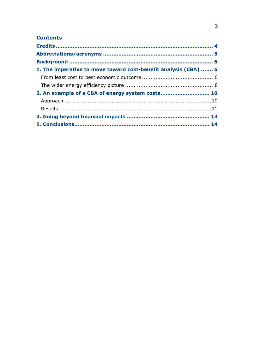# **Contents**

| 1. The imperative to move toward cost-benefit analysis (CBA)  6 |  |
|-----------------------------------------------------------------|--|
|                                                                 |  |
|                                                                 |  |
| 2. An example of a CBA of energy system costs 10                |  |
|                                                                 |  |
|                                                                 |  |
|                                                                 |  |
|                                                                 |  |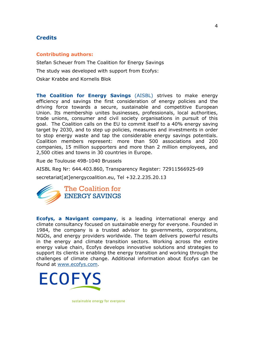# **Credits**

#### Contributing authors:

Stefan Scheuer from The Coalition for Energy Savings The study was developed with support from Ecofys: Oskar Krabbe and Kornelis Blok

The Coalition for Energy Savings (AISBL) strives to make energy efficiency and savings the first consideration of energy policies and the driving force towards a secure, sustainable and competitive European Union. Its membership unites businesses, professionals, local authorities, trade unions, consumer and civil society organisations in pursuit of this goal. The Coalition calls on the EU to commit itself to a 40% energy saving target by 2030, and to step up policies, measures and investments in order to stop energy waste and tap the considerable energy savings potentials. Coalition members represent: more than 500 associations and 200 companies, 15 million supporters and more than 2 million employees, and 2,500 cities and towns in 30 countries in Europe.

Rue de Toulouse 49B-1040 Brussels

AISBL Reg Nr: 644.403.860, Transparency Register: 72911566925-69

secretariat[at]energycoalition.eu, Tel +32.2.235.20.13



Ecofys, a Navigant company, is a leading international energy and climate consultancy focused on sustainable energy for everyone. Founded in 1984, the company is a trusted advisor to governments, corporations, NGOs, and energy providers worldwide. The team delivers powerful results in the energy and climate transition sectors. Working across the entire energy value chain, Ecofys develops innovative solutions and strategies to support its clients in enabling the energy transition and working through the challenges of climate change. Additional information about Ecofys can be found at www.ecofys.com.



sustainable energy for everyone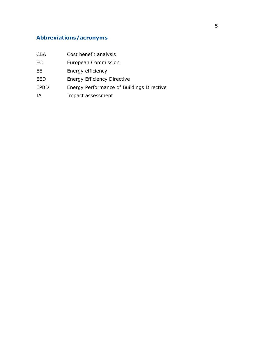# Abbreviations/acronyms

| <b>CBA</b>  | Cost benefit analysis                     |  |  |
|-------------|-------------------------------------------|--|--|
| <b>EC</b>   | European Commission                       |  |  |
| EE          | Energy efficiency                         |  |  |
| EED         | <b>Energy Efficiency Directive</b>        |  |  |
| <b>EPBD</b> | Energy Performance of Buildings Directive |  |  |
| ΙA          | Impact assessment                         |  |  |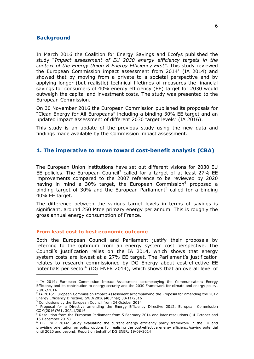### **Background**

In March 2016 the Coalition for Energy Savings and Ecofys published the study "Impact assessment of EU 2030 energy efficiency targets in the context of the Energy Union & Energy Efficiency First". This study reviewed the European Commission impact assessment from 2014<sup>1</sup> (IA 2014) and showed that by moving from a private to a societal perspective and by applying longer (but realistic) technical lifetimes of measures the financial savings for consumers of 40% energy efficiency (EE) target for 2030 would outweigh the capital and investment costs. The study was presented to the European Commission.

On 30 November 2016 the European Commission published its proposals for "Clean Energy for All Europeans" including a binding 30% EE target and an updated impact assessment of different 2030 target levels<sup>2</sup> (IA 2016).

This study is an update of the previous study using the new data and findings made available by the Commission impact assessment.

### 1. The imperative to move toward cost-benefit analysis (CBA)

The European Union institutions have set out different visions for 2030 EU EE policies. The European Council<sup>3</sup> called for a target of at least 27% EE improvements compared to the 2007 reference to be reviewed by 2020 having in mind a 30% target, the European Commission<sup>4</sup> proposed a binding target of 30% and the European Parliament<sup>5</sup> called for a binding 40% EE target.

The difference between the various target levels in terms of savings is significant, around 250 Mtoe primary energy per annum. This is roughly the gross annual energy consumption of France.

#### From least cost to best economic outcome

Both the European Council and Parliament justify their proposals by referring to the optimum from an energy system cost perspective. The Council's justification relies on the IA 2014, which shows that energy system costs are lowest at a 27% EE target. The Parliament's justification relates to research commissioned by DG Energy about cost-effective EE potentials per sector<sup>6</sup> (DG ENER 2014), which shows that an overall level of

i<br>I

<sup>&</sup>lt;sup>1</sup> IA 2014: European Commission Impact Assessment accompanying the Communication: Energy Efficiency and its contribution to energy security and the 2030 Framework for climate and energy policy; 23/07/2014

<sup>&</sup>lt;sup>2</sup> IA 2016: European Commission Impact Assessment accompanying the Proposal for amending the 2012 Energy Efficiency Directive; SWD(2016)405final; 30/11/2016

<sup>&</sup>lt;sup>3</sup> Conclusions by the European Council from 24 October 2014

<sup>4</sup> Proposal for a Directive amending the Energy Efficiency Directive 2012, European Commission COM(2016)761, 30/11/2016

<sup>&</sup>lt;sup>5</sup> Resolution from the European Parliament from 5 February 2014 and later resolutions (14 October and 15 December 2015)

<sup>&</sup>lt;sup>6</sup> DG ENER 2014: Study evaluating the current energy efficiency policy framework in the EU and providing orientation on policy options for realising the cost-effective energy efficiency/saving potential until 2020 and beyond; Report on behalf of DG ENER; 19/09/2014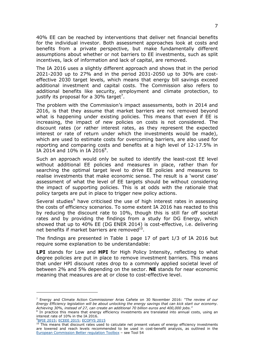40% EE can be reached by interventions that deliver net financial benefits for the individual investor. Both assessment approaches look at costs and benefits from a private perspective, but make fundamentally different assumptions about whether or not barriers to EE investments, such as split incentives, lack of information and lack of capital, are removed.

The IA 2016 uses a slightly different approach and shows that in the period 2021-2030 up to 27% and in the period 2031-2050 up to 30% are costeffective 2030 target levels, which means that energy bill savings exceed additional investment and capital costs. The Commission also refers to additional benefits like security, employment and climate protection, to justify its proposal for a 30% target<sup>7</sup>.

The problem with the Commission's impact assessments, both in 2014 and 2016, is that they assume that market barriers are not removed beyond what is happening under existing policies. This means that even if EE is increasing, the impact of new policies on costs is not considered. The discount rates (or rather interest rates, as they represent the expected interest or rate of return under which the investments would be made), which are used to estimate costs for overcoming barriers, are also used for reporting and comparing costs and benefits at a high level of 12-17.5% in IA 2014 and 10% in IA 2016 $^{8}$ .

Such an approach would only be suited to identify the least-cost EE level without additional EE policies and measures in place, rather than for searching the optimal target level to drive EE policies and measures to realise investments that make economic sense. The result is a 'worst case' assessment of what the level of EE targets should be without considering the impact of supporting policies. This is at odds with the rationale that policy targets are put in place to trigger new policy actions.

Several studies<sup>9</sup> have criticised the use of high interest rates in assessing the costs of efficiency scenarios. To some extent IA 2016 has reacted to this by reducing the discount rate to 10%, though this is still far off societal rates and by providing the findings from a study for DG Energy, which showed that up to 40% EE (DG ENER 2014) is cost-effective, i.e. delivering net benefits if market barriers are removed $^{10}$ .

The findings are presented in Table 1 page 17 of part 1/3 of IA 2016 but require some explanation to be understandable:

**LPI** stands for Low and **HPI** for High Policy Intensity, reflecting to what degree policies are put in place to remove investment barriers. This means that under HPI discount rates drop to a commonly applied societal level of between 2% and 5% depending on the sector. NE stands for near economic meaning that measures are at or close to cost-effective level.

```
9BPIE 2015; ECEEE 2015; ECOFYS 2015
```
i<br>I

<sup>&</sup>lt;sup>7</sup> Energy and Climate Action Commissioner Arias Cañete on 30 November 2016: "The review of our Energy Efficiency legislation will be about unlocking the energy savings that can kick start our economy. Achieving 30%, instead of 27, can create an additional 70 billion euros and 400,000 jobs."

<sup>&</sup>lt;sup>8</sup> In practice this means that energy efficiency investments are translated into annual costs, using an interest rate of 10% in the IA 2016.

<sup>&</sup>lt;sup>10</sup> This means that discount rates used to calculate net present values of energy efficiency investments are lowered and reach levels recommended to be used in cost-benefit analysis, as outlined in the European Commission Better regulation Toolbox – see Tool 54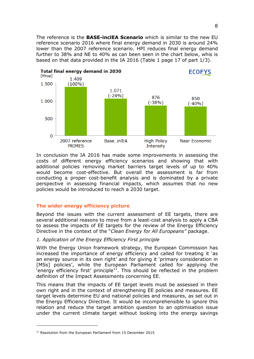The reference is the **BASE-inclEA Scenario** which is similar to the new EU reference scenario 2016 where final energy demand in 2030 is around 24% lower than the 2007 reference scenario. HPI reduces final energy demand further to 38% and NE to 40% as can been seen in the chart below, whis is based on that data provided in the IA 2016 (Table 1 page 17 of part 1/3).



In conclusion the IA 2016 has made some improvements in assessing the costs of different energy efficiency scenarios and showing that with additional policies removing market barriers target levels of up to 40% would become cost-effective. But overall the assessment is far from conducting a proper cost-benefit analysis and is dominated by a private perspective in assessing financial impacts, which assumes that no new policies would be introduced to reach a 2030 target.

# The wider energy efficiency picture

Beyond the issues with the current assessment of EE targets, there are several additional reasons to move from a least-cost analysis to apply a CBA to assess the impacts of EE targets for the review of the Energy Efficiency Directive in the context of the "Clean Energy for All Europeans" package.

# 1. Application of the Energy Efficiency First principle

With the Energy Union framework strategy, the European Commission has increased the importance of energy efficiency and called for treating it 'as an energy source in its own right' and for giving it 'primary consideration in [MSs] policies', while the European Parliament called for applying the  $\sum_{i=1}^{n}$  efficiency first' principle<sup>11</sup>. This should be reflected in the problem definition of the Impact Assessments concerning EE.

This means that the impacts of EE target levels must be assessed in their own right and in the context of strengthening EE policies and measures. EE target levels determine EU and national policies and measures, as set out in the Energy Efficiency Directive. It would be incomprehensible to ignore this relation and reduce the target ambition question to an optimisation issue under the current climate target without looking into the energy savings

l

 $11$  Resolution from the European Parliament from 15 December 2015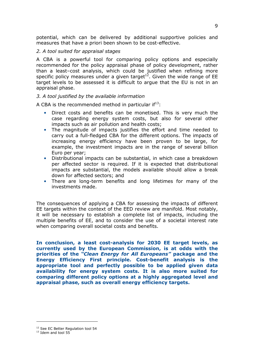potential, which can be delivered by additional supportive policies and measures that have a priori been shown to be cost-effective.

#### 2. A tool suited for appraisal stages

A CBA is a powerful tool for comparing policy options and especially recommended for the policy appraisal phase of policy development, rather than a least–cost analysis, which could be justified when refining more specific policy measures under a given target<sup>12</sup>. Given the wide range of EE target levels to be assessed it is difficult to argue that the EU is not in an appraisal phase.

### 3. A tool justified by the available information

A CBA is the recommended method in particular  $if<sup>13</sup>$ :

- Direct costs and benefits can be monetised. This is very much the case regarding energy system costs, but also for several other impacts such as air pollution and health costs;
- The magnitude of impacts justifies the effort and time needed to carry out a full-fledged CBA for the different options. The impacts of increasing energy efficiency have been proven to be large, for example, the investment impacts are in the range of several billion Euro per year;
- Distributional impacts can be substantial, in which case a breakdown per affected sector is required. If it is expected that distributional impacts are substantial, the models available should allow a break down for affected sectors; and
- There are long-term benefits and long lifetimes for many of the investments made.

The consequences of applying a CBA for assessing the impacts of different EE targets within the context of the EED review are manifold. Most notably, it will be necessary to establish a complete list of impacts, including the multiple benefits of EE, and to consider the use of a societal interest rate when comparing overall societal costs and benefits.

In conclusion, a least cost-analysis for 2030 EE target levels, as currently used by the European Commission, is at odds with the priorities of the "Clean Energy for All Europeans" package and the Energy Efficiency First principle. Cost-benefit analysis is the appropriate tool and perfectly possible to be applied given data availability for energy system costs. It is also more suited for comparing different policy options at a highly aggregated level and appraisal phase, such as overall energy efficiency targets.

l

<sup>&</sup>lt;sup>12</sup> See EC Better Regulation tool 54

 $13$  Idem and tool 55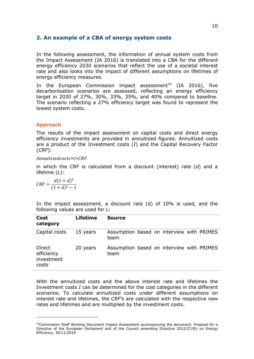# 2. An example of a CBA of energy system costs

In the following assessment, the information of annual system costs from the Impact Assessment (IA 2016) is translated into a CBA for the different energy efficiency 2030 scenarios that reflect the use of a societal interest rate and also looks into the impact of different assumptions on lifetimes of energy efficiency measures.

In the European Commission impact assessment<sup>14</sup> (IA 2016), five decarbonisation scenarios are assessed, reflecting an energy efficiency target in 2030 of 27%, 30%, 33%, 35%, and 40% compared to baseline. The scenario reflecting a 27% efficiency target was found to represent the lowest system costs.

## Approach

The results of the impact assessment on capital costs and direct energy efficiency investments are provided in annuitized figures. Annuitized costs are a product of the Investment costs  $(I)$  and the Capital Recovery Factor (CRF):

Annuitizedcosts=I\*CRF

in which the CRF is calculated from a discount (interest) rate  $(d)$  and a lifetime (L):

$$
CRF = \frac{d(1+d)^L}{(1+d)^L - 1}
$$

i<br>I

In the impact assessment, a discount rate (d) of 10% is used, and the following values are used for L:

| Cost<br>category                            | <b>Lifetime</b> | <b>Source</b>                                     |
|---------------------------------------------|-----------------|---------------------------------------------------|
| Capital costs                               | 15 years        | Assumption based on interview with PRIMES<br>team |
| Direct<br>efficiency<br>investment<br>costs | 20 years        | Assumption based on interview with PRIMES<br>team |

With the annuitized costs and the above interest rate and lifetimes the Investment costs I can be determined for the cost categories in the different scenarios. To calculate annuitized costs under different assumptions on interest rate and lifetimes, the CRF's are calculated with the respective new rates and lifetimes and are multiplied by the investment costs.

<sup>&</sup>lt;sup>14</sup>Commission Staff Working Document Impact Assessment accompanying the document: Proposal for a Directive of the European Parliament and of the Council amending Directive 2012/27/EU on Energy Efficiency; 30/11/2016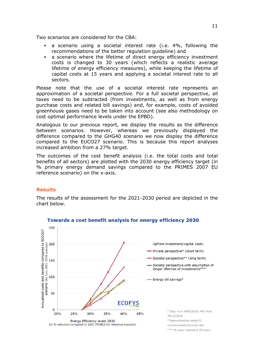Two scenarios are considered for the CBA:

- a scenario using a societal interest rate (i.e. 4%, following the recommendations of the better regulation guideline) and
- a scenario where the lifetime of direct energy efficiency investment costs is changed to 30 years (which reflects a realistic average lifetime of energy efficiency measures), while keeping the lifetime of capital costs at 15 years and applying a societal interest rate to all sectors.

Please note that the use of a societal interest rate represents an approximation of a societal perspective. For a full societal perspective, all taxes need to be subtracted (from investments, as well as from energy purchase costs and related bill savings) and, for example, costs of avoided greenhouse gases need to be taken into account (see also methodology on cost optimal performance levels under the EPBD).

Analogous to our previous report, we display the results as the difference between scenarios. However, whereas we previously displayed the difference compared to the GHG40 scenario we now display the difference compared to the EUCO27 scenario. This is because this report analyses increased ambition from a 27% target.

The outcomes of the cost benefit analysis (i.e. the total costs and total benefits of all sectors) are plotted with the 2030 energy efficiency target (in % primary energy demand savings compared to the PRIMES 2007 EU reference scenario) on the x-axis.

### **Results**

The results of the assessment for the 2021-2030 period are depicted in the chart below.



# Towards a cost benefit analysis for energy efficiency 2030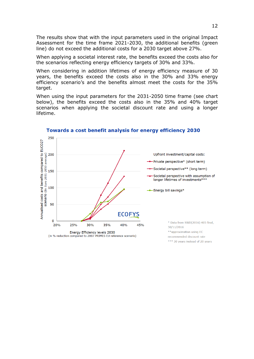The results show that with the input parameters used in the original Impact Assessment for the time frame 2021-2030, the additional benefits (green line) do not exceed the additional costs for a 2030 target above 27%.

When applying a societal interest rate, the benefits exceed the costs also for the scenarios reflecting energy efficiency targets of 30% and 33%.

When considering in addition lifetimes of energy efficiency measure of 30 years, the benefits exceed the costs also in the 30% and 33% energy efficiency scenario's and the benefits almost meet the costs for the 35% target.

When using the input parameters for the 2031-2050 time frame (see chart below), the benefits exceed the costs also in the 35% and 40% target scenarios when applying the societal discount rate and using a longer lifetime.



#### Towards a cost benefit analysis for energy efficiency 2030

\*\*\* 30 years instead of 20 years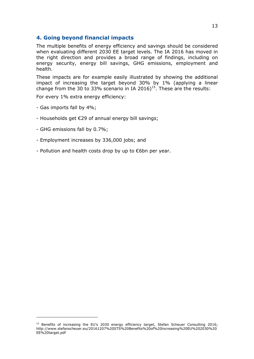# 4. Going beyond financial impacts

The multiple benefits of energy efficiency and savings should be considered when evaluating different 2030 EE target levels. The IA 2016 has moved in the right direction and provides a broad range of findings, including on energy security, energy bill savings, GHG emissions, employment and health.

These impacts are for example easily illustrated by showing the additional impact of increasing the target beyond 30% by 1% (applying a linear change from the 30 to 33% scenario in IA 2016)<sup>15</sup>. These are the results:

For every 1% extra energy efficiency:

- Gas imports fall by 4%;

i<br>I

- Households get €29 of annual energy bill savings;
- GHG emissions fall by 0.7%;
- Employment increases by 336,000 jobs; and
- Pollution and health costs drop by up to €6bn per year.

<sup>&</sup>lt;sup>15</sup> Benefits of increasing the EU's 2030 energy efficiency target, Stefan Scheuer Consulting 2016; http://www.stefanscheuer.eu/20161207%20STS%20Benefits%20of%20increasing%20EU%202030%20 EE%20target.pdf